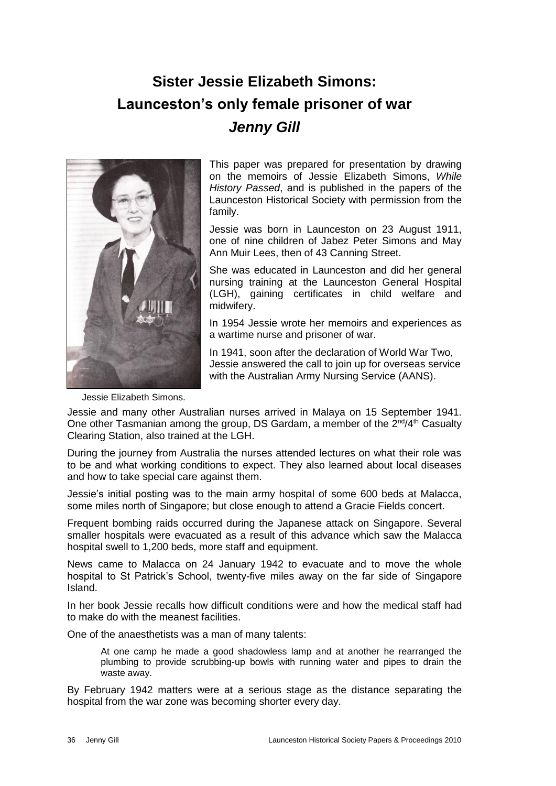# **Sister Jessie Elizabeth Simons: Launceston's only female prisoner of war** *Jenny Gill*



This paper was prepared for presentation by drawing on the memoirs of Jessie Elizabeth Simons, *While History Passed*, and is published in the papers of the Launceston Historical Society with permission from the family.

Jessie was born in Launceston on 23 August 1911, one of nine children of Jabez Peter Simons and May Ann Muir Lees, then of 43 Canning Street.

She was educated in Launceston and did her general nursing training at the Launceston General Hospital (LGH), gaining certificates in child welfare and midwifery.

In 1954 Jessie wrote her memoirs and experiences as a wartime nurse and prisoner of war.

In 1941, soon after the declaration of World War Two, Jessie answered the call to join up for overseas service with the Australian Army Nursing Service (AANS).

Jessie Elizabeth Simons.

Jessie and many other Australian nurses arrived in Malaya on 15 September 1941. One other Tasmanian among the group, DS Gardam, a member of the 2<sup>nd</sup>/4<sup>th</sup> Casualty Clearing Station, also trained at the LGH.

During the journey from Australia the nurses attended lectures on what their role was to be and what working conditions to expect. They also learned about local diseases and how to take special care against them.

Jessie's initial posting was to the main army hospital of some 600 beds at Malacca, some miles north of Singapore; but close enough to attend a Gracie Fields concert.

Frequent bombing raids occurred during the Japanese attack on Singapore. Several smaller hospitals were evacuated as a result of this advance which saw the Malacca hospital swell to 1,200 beds, more staff and equipment.

News came to Malacca on 24 January 1942 to evacuate and to move the whole hospital to St Patrick's School, twenty-five miles away on the far side of Singapore Island.

In her book Jessie recalls how difficult conditions were and how the medical staff had to make do with the meanest facilities.

One of the anaesthetists was a man of many talents:

At one camp he made a good shadowless lamp and at another he rearranged the plumbing to provide scrubbing-up bowls with running water and pipes to drain the waste away.

By February 1942 matters were at a serious stage as the distance separating the hospital from the war zone was becoming shorter every day.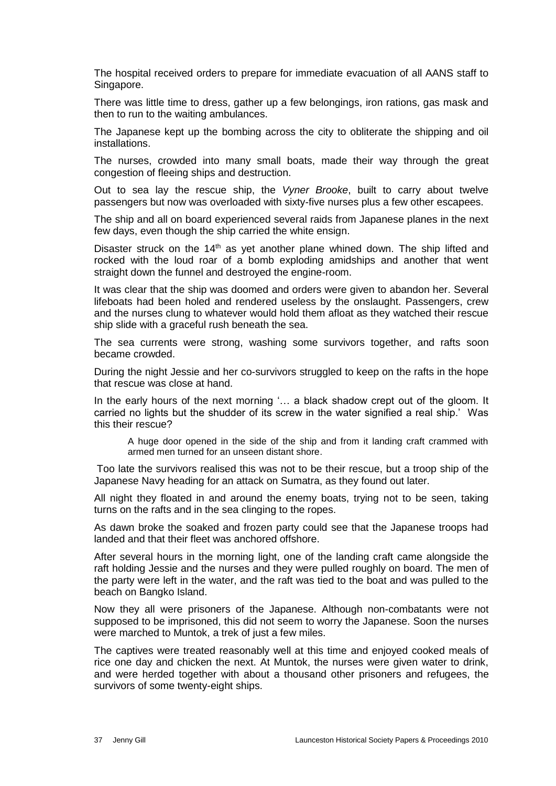The hospital received orders to prepare for immediate evacuation of all AANS staff to Singapore.

There was little time to dress, gather up a few belongings, iron rations, gas mask and then to run to the waiting ambulances.

The Japanese kept up the bombing across the city to obliterate the shipping and oil installations.

The nurses, crowded into many small boats, made their way through the great congestion of fleeing ships and destruction.

Out to sea lay the rescue ship, the *Vyner Brooke*, built to carry about twelve passengers but now was overloaded with sixty-five nurses plus a few other escapees.

The ship and all on board experienced several raids from Japanese planes in the next few days, even though the ship carried the white ensign.

Disaster struck on the  $14<sup>th</sup>$  as yet another plane whined down. The ship lifted and rocked with the loud roar of a bomb exploding amidships and another that went straight down the funnel and destroyed the engine-room.

It was clear that the ship was doomed and orders were given to abandon her. Several lifeboats had been holed and rendered useless by the onslaught. Passengers, crew and the nurses clung to whatever would hold them afloat as they watched their rescue ship slide with a graceful rush beneath the sea.

The sea currents were strong, washing some survivors together, and rafts soon became crowded.

During the night Jessie and her co-survivors struggled to keep on the rafts in the hope that rescue was close at hand.

In the early hours of the next morning '… a black shadow crept out of the gloom. It carried no lights but the shudder of its screw in the water signified a real ship.' Was this their rescue?

A huge door opened in the side of the ship and from it landing craft crammed with armed men turned for an unseen distant shore.

Too late the survivors realised this was not to be their rescue, but a troop ship of the Japanese Navy heading for an attack on Sumatra, as they found out later.

All night they floated in and around the enemy boats, trying not to be seen, taking turns on the rafts and in the sea clinging to the ropes.

As dawn broke the soaked and frozen party could see that the Japanese troops had landed and that their fleet was anchored offshore.

After several hours in the morning light, one of the landing craft came alongside the raft holding Jessie and the nurses and they were pulled roughly on board. The men of the party were left in the water, and the raft was tied to the boat and was pulled to the beach on Bangko Island.

Now they all were prisoners of the Japanese. Although non-combatants were not supposed to be imprisoned, this did not seem to worry the Japanese. Soon the nurses were marched to Muntok, a trek of just a few miles.

The captives were treated reasonably well at this time and enjoyed cooked meals of rice one day and chicken the next. At Muntok, the nurses were given water to drink, and were herded together with about a thousand other prisoners and refugees, the survivors of some twenty-eight ships.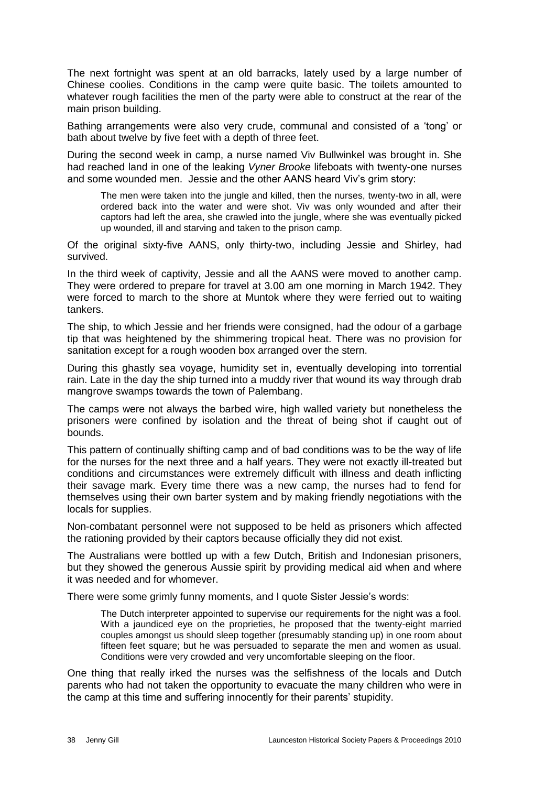The next fortnight was spent at an old barracks, lately used by a large number of Chinese coolies. Conditions in the camp were quite basic. The toilets amounted to whatever rough facilities the men of the party were able to construct at the rear of the main prison building.

Bathing arrangements were also very crude, communal and consisted of a 'tong' or bath about twelve by five feet with a depth of three feet.

During the second week in camp, a nurse named Viv Bullwinkel was brought in. She had reached land in one of the leaking *Vyner Brooke* lifeboats with twenty-one nurses and some wounded men. Jessie and the other AANS heard Viv's grim story:

The men were taken into the jungle and killed, then the nurses, twenty-two in all, were ordered back into the water and were shot. Viv was only wounded and after their captors had left the area, she crawled into the jungle, where she was eventually picked up wounded, ill and starving and taken to the prison camp.

Of the original sixty-five AANS, only thirty-two, including Jessie and Shirley, had survived.

In the third week of captivity, Jessie and all the AANS were moved to another camp. They were ordered to prepare for travel at 3.00 am one morning in March 1942. They were forced to march to the shore at Muntok where they were ferried out to waiting tankers.

The ship, to which Jessie and her friends were consigned, had the odour of a garbage tip that was heightened by the shimmering tropical heat. There was no provision for sanitation except for a rough wooden box arranged over the stern.

During this ghastly sea voyage, humidity set in, eventually developing into torrential rain. Late in the day the ship turned into a muddy river that wound its way through drab mangrove swamps towards the town of Palembang.

The camps were not always the barbed wire, high walled variety but nonetheless the prisoners were confined by isolation and the threat of being shot if caught out of bounds.

This pattern of continually shifting camp and of bad conditions was to be the way of life for the nurses for the next three and a half years. They were not exactly ill-treated but conditions and circumstances were extremely difficult with illness and death inflicting their savage mark. Every time there was a new camp, the nurses had to fend for themselves using their own barter system and by making friendly negotiations with the locals for supplies.

Non-combatant personnel were not supposed to be held as prisoners which affected the rationing provided by their captors because officially they did not exist.

The Australians were bottled up with a few Dutch, British and Indonesian prisoners, but they showed the generous Aussie spirit by providing medical aid when and where it was needed and for whomever.

There were some grimly funny moments, and I quote Sister Jessie's words:

The Dutch interpreter appointed to supervise our requirements for the night was a fool. With a jaundiced eye on the proprieties, he proposed that the twenty-eight married couples amongst us should sleep together (presumably standing up) in one room about fifteen feet square; but he was persuaded to separate the men and women as usual. Conditions were very crowded and very uncomfortable sleeping on the floor.

One thing that really irked the nurses was the selfishness of the locals and Dutch parents who had not taken the opportunity to evacuate the many children who were in the camp at this time and suffering innocently for their parents' stupidity.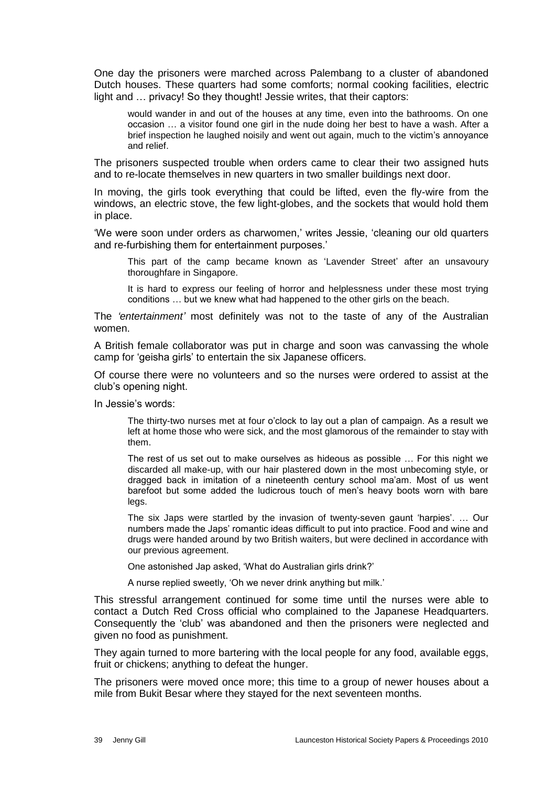One day the prisoners were marched across Palembang to a cluster of abandoned Dutch houses. These quarters had some comforts; normal cooking facilities, electric light and … privacy! So they thought! Jessie writes, that their captors:

would wander in and out of the houses at any time, even into the bathrooms. On one occasion … a visitor found one girl in the nude doing her best to have a wash. After a brief inspection he laughed noisily and went out again, much to the victim's annoyance and relief.

The prisoners suspected trouble when orders came to clear their two assigned huts and to re-locate themselves in new quarters in two smaller buildings next door.

In moving, the girls took everything that could be lifted, even the fly-wire from the windows, an electric stove, the few light-globes, and the sockets that would hold them in place.

'We were soon under orders as charwomen,' writes Jessie, 'cleaning our old quarters and re-furbishing them for entertainment purposes.'

This part of the camp became known as 'Lavender Street' after an unsavoury thoroughfare in Singapore.

It is hard to express our feeling of horror and helplessness under these most trying conditions … but we knew what had happened to the other girls on the beach.

The *'entertainment'* most definitely was not to the taste of any of the Australian women.

A British female collaborator was put in charge and soon was canvassing the whole camp for 'geisha girls' to entertain the six Japanese officers.

Of course there were no volunteers and so the nurses were ordered to assist at the club's opening night.

In Jessie's words:

The thirty-two nurses met at four o'clock to lay out a plan of campaign. As a result we left at home those who were sick, and the most glamorous of the remainder to stay with them.

The rest of us set out to make ourselves as hideous as possible … For this night we discarded all make-up, with our hair plastered down in the most unbecoming style, or dragged back in imitation of a nineteenth century school ma'am. Most of us went barefoot but some added the ludicrous touch of men's heavy boots worn with bare legs.

The six Japs were startled by the invasion of twenty-seven gaunt 'harpies'. … Our numbers made the Japs' romantic ideas difficult to put into practice. Food and wine and drugs were handed around by two British waiters, but were declined in accordance with our previous agreement.

One astonished Jap asked, 'What do Australian girls drink?'

A nurse replied sweetly, 'Oh we never drink anything but milk.'

This stressful arrangement continued for some time until the nurses were able to contact a Dutch Red Cross official who complained to the Japanese Headquarters. Consequently the 'club' was abandoned and then the prisoners were neglected and given no food as punishment.

They again turned to more bartering with the local people for any food, available eggs, fruit or chickens; anything to defeat the hunger.

The prisoners were moved once more; this time to a group of newer houses about a mile from Bukit Besar where they stayed for the next seventeen months.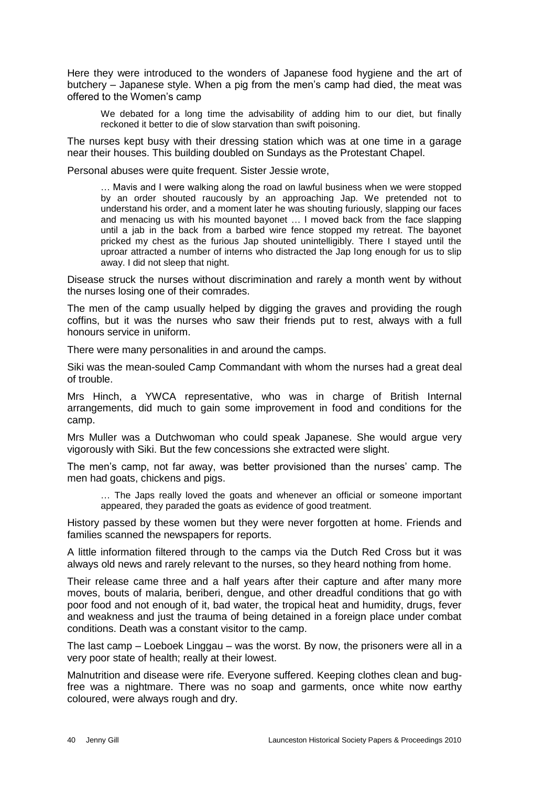Here they were introduced to the wonders of Japanese food hygiene and the art of butchery – Japanese style. When a pig from the men's camp had died, the meat was offered to the Women's camp

We debated for a long time the advisability of adding him to our diet, but finally reckoned it better to die of slow starvation than swift poisoning.

The nurses kept busy with their dressing station which was at one time in a garage near their houses. This building doubled on Sundays as the Protestant Chapel.

Personal abuses were quite frequent. Sister Jessie wrote,

… Mavis and I were walking along the road on lawful business when we were stopped by an order shouted raucously by an approaching Jap. We pretended not to understand his order, and a moment later he was shouting furiously, slapping our faces and menacing us with his mounted bayonet … I moved back from the face slapping until a jab in the back from a barbed wire fence stopped my retreat. The bayonet pricked my chest as the furious Jap shouted unintelligibly. There I stayed until the uproar attracted a number of interns who distracted the Jap long enough for us to slip away. I did not sleep that night.

Disease struck the nurses without discrimination and rarely a month went by without the nurses losing one of their comrades.

The men of the camp usually helped by digging the graves and providing the rough coffins, but it was the nurses who saw their friends put to rest, always with a full honours service in uniform.

There were many personalities in and around the camps.

Siki was the mean-souled Camp Commandant with whom the nurses had a great deal of trouble.

Mrs Hinch, a YWCA representative, who was in charge of British Internal arrangements, did much to gain some improvement in food and conditions for the camp.

Mrs Muller was a Dutchwoman who could speak Japanese. She would argue very vigorously with Siki. But the few concessions she extracted were slight.

The men's camp, not far away, was better provisioned than the nurses' camp. The men had goats, chickens and pigs.

… The Japs really loved the goats and whenever an official or someone important appeared, they paraded the goats as evidence of good treatment.

History passed by these women but they were never forgotten at home. Friends and families scanned the newspapers for reports.

A little information filtered through to the camps via the Dutch Red Cross but it was always old news and rarely relevant to the nurses, so they heard nothing from home.

Their release came three and a half years after their capture and after many more moves, bouts of malaria, beriberi, dengue, and other dreadful conditions that go with poor food and not enough of it, bad water, the tropical heat and humidity, drugs, fever and weakness and just the trauma of being detained in a foreign place under combat conditions. Death was a constant visitor to the camp.

The last camp – Loeboek Linggau – was the worst. By now, the prisoners were all in a very poor state of health; really at their lowest.

Malnutrition and disease were rife. Everyone suffered. Keeping clothes clean and bugfree was a nightmare. There was no soap and garments, once white now earthy coloured, were always rough and dry.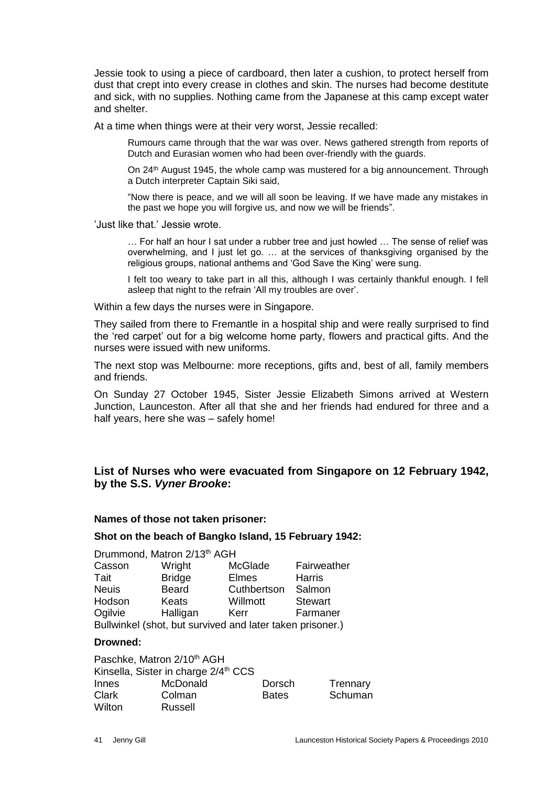Jessie took to using a piece of cardboard, then later a cushion, to protect herself from dust that crept into every crease in clothes and skin. The nurses had become destitute and sick, with no supplies. Nothing came from the Japanese at this camp except water and shelter.

At a time when things were at their very worst, Jessie recalled:

Rumours came through that the war was over. News gathered strength from reports of Dutch and Eurasian women who had been over-friendly with the guards.

On 24th August 1945, the whole camp was mustered for a big announcement. Through a Dutch interpreter Captain Siki said,

"Now there is peace, and we will all soon be leaving. If we have made any mistakes in the past we hope you will forgive us, and now we will be friends".

'Just like that.' Jessie wrote.

… For half an hour I sat under a rubber tree and just howled … The sense of relief was overwhelming, and I just let go. … at the services of thanksgiving organised by the religious groups, national anthems and 'God Save the King' were sung.

I felt too weary to take part in all this, although I was certainly thankful enough. I fell asleep that night to the refrain 'All my troubles are over'.

Within a few days the nurses were in Singapore.

They sailed from there to Fremantle in a hospital ship and were really surprised to find the 'red carpet' out for a big welcome home party, flowers and practical gifts. And the nurses were issued with new uniforms.

The next stop was Melbourne: more receptions, gifts and, best of all, family members and friends.

On Sunday 27 October 1945, Sister Jessie Elizabeth Simons arrived at Western Junction, Launceston. After all that she and her friends had endured for three and a half years, here she was – safely home!

## **List of Nurses who were evacuated from Singapore on 12 February 1942, by the S.S.** *Vyner Brooke***:**

#### **Names of those not taken prisoner:**

#### **Shot on the beach of Bangko Island, 15 February 1942:**

| Drummond, Matron 2/13 <sup>th</sup> AGH                   |               |             |                |  |
|-----------------------------------------------------------|---------------|-------------|----------------|--|
| Casson                                                    | Wright        | McGlade     | Fairweather    |  |
| Tait                                                      | <b>Bridge</b> | Elmes       | <b>Harris</b>  |  |
| <b>Neuis</b>                                              | <b>Beard</b>  | Cuthbertson | Salmon         |  |
| Hodson                                                    | <b>Keats</b>  | Willmott    | <b>Stewart</b> |  |
| Ogilvie                                                   | Halligan      | Kerr        | Farmaner       |  |
| Bullwinkel (shot, but survived and later taken prisoner.) |               |             |                |  |

#### **Drowned:**

Paschke, Matron 2/10<sup>th</sup> AGH Kinsella, Sister in charge 2/4<sup>th</sup> CCS Innes McDonald Dorsch Trennary Clark Colman Bates Schuman Wilton Russell